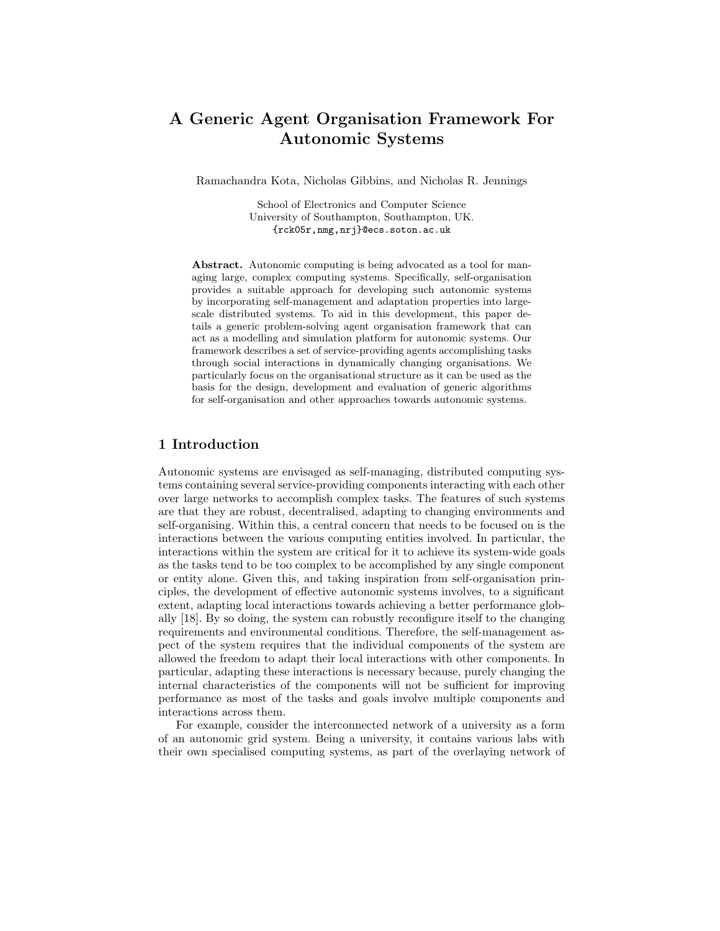# A Generic Agent Organisation Framework For Autonomic Systems

Ramachandra Kota, Nicholas Gibbins, and Nicholas R. Jennings

School of Electronics and Computer Science University of Southampton, Southampton, UK. {rck05r,nmg,nrj}@ecs.soton.ac.uk

Abstract. Autonomic computing is being advocated as a tool for managing large, complex computing systems. Specifically, self-organisation provides a suitable approach for developing such autonomic systems by incorporating self-management and adaptation properties into largescale distributed systems. To aid in this development, this paper details a generic problem-solving agent organisation framework that can act as a modelling and simulation platform for autonomic systems. Our framework describes a set of service-providing agents accomplishing tasks through social interactions in dynamically changing organisations. We particularly focus on the organisational structure as it can be used as the basis for the design, development and evaluation of generic algorithms for self-organisation and other approaches towards autonomic systems.

# 1 Introduction

Autonomic systems are envisaged as self-managing, distributed computing systems containing several service-providing components interacting with each other over large networks to accomplish complex tasks. The features of such systems are that they are robust, decentralised, adapting to changing environments and self-organising. Within this, a central concern that needs to be focused on is the interactions between the various computing entities involved. In particular, the interactions within the system are critical for it to achieve its system-wide goals as the tasks tend to be too complex to be accomplished by any single component or entity alone. Given this, and taking inspiration from self-organisation principles, the development of effective autonomic systems involves, to a significant extent, adapting local interactions towards achieving a better performance globally [18]. By so doing, the system can robustly reconfigure itself to the changing requirements and environmental conditions. Therefore, the self-management aspect of the system requires that the individual components of the system are allowed the freedom to adapt their local interactions with other components. In particular, adapting these interactions is necessary because, purely changing the internal characteristics of the components will not be sufficient for improving performance as most of the tasks and goals involve multiple components and interactions across them.

For example, consider the interconnected network of a university as a form of an autonomic grid system. Being a university, it contains various labs with their own specialised computing systems, as part of the overlaying network of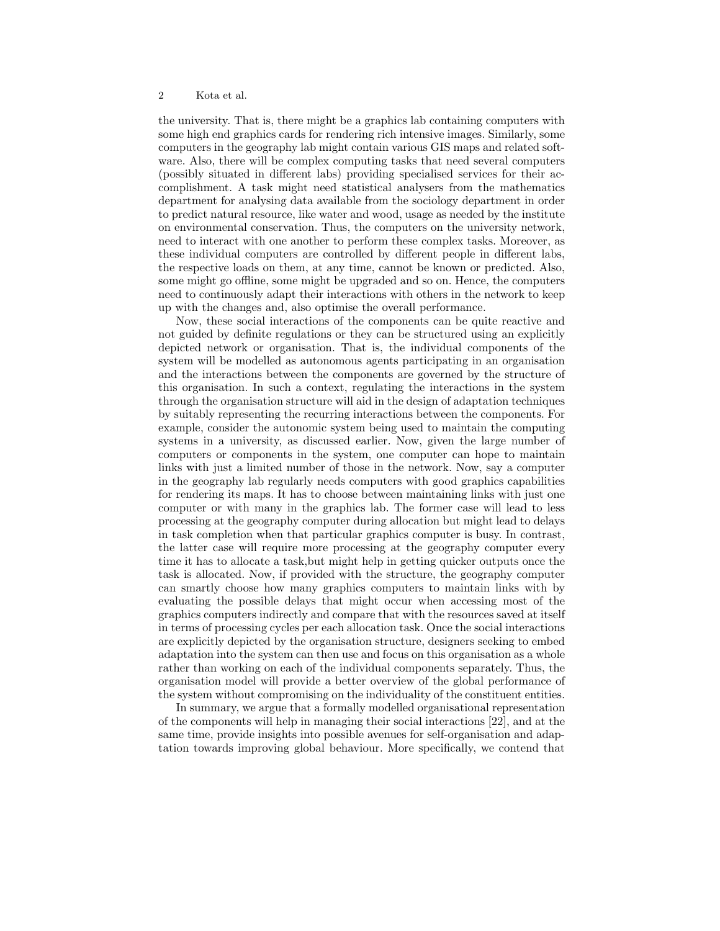the university. That is, there might be a graphics lab containing computers with some high end graphics cards for rendering rich intensive images. Similarly, some computers in the geography lab might contain various GIS maps and related software. Also, there will be complex computing tasks that need several computers (possibly situated in different labs) providing specialised services for their accomplishment. A task might need statistical analysers from the mathematics department for analysing data available from the sociology department in order to predict natural resource, like water and wood, usage as needed by the institute on environmental conservation. Thus, the computers on the university network, need to interact with one another to perform these complex tasks. Moreover, as these individual computers are controlled by different people in different labs, the respective loads on them, at any time, cannot be known or predicted. Also, some might go offline, some might be upgraded and so on. Hence, the computers need to continuously adapt their interactions with others in the network to keep up with the changes and, also optimise the overall performance.

Now, these social interactions of the components can be quite reactive and not guided by definite regulations or they can be structured using an explicitly depicted network or organisation. That is, the individual components of the system will be modelled as autonomous agents participating in an organisation and the interactions between the components are governed by the structure of this organisation. In such a context, regulating the interactions in the system through the organisation structure will aid in the design of adaptation techniques by suitably representing the recurring interactions between the components. For example, consider the autonomic system being used to maintain the computing systems in a university, as discussed earlier. Now, given the large number of computers or components in the system, one computer can hope to maintain links with just a limited number of those in the network. Now, say a computer in the geography lab regularly needs computers with good graphics capabilities for rendering its maps. It has to choose between maintaining links with just one computer or with many in the graphics lab. The former case will lead to less processing at the geography computer during allocation but might lead to delays in task completion when that particular graphics computer is busy. In contrast, the latter case will require more processing at the geography computer every time it has to allocate a task,but might help in getting quicker outputs once the task is allocated. Now, if provided with the structure, the geography computer can smartly choose how many graphics computers to maintain links with by evaluating the possible delays that might occur when accessing most of the graphics computers indirectly and compare that with the resources saved at itself in terms of processing cycles per each allocation task. Once the social interactions are explicitly depicted by the organisation structure, designers seeking to embed adaptation into the system can then use and focus on this organisation as a whole rather than working on each of the individual components separately. Thus, the organisation model will provide a better overview of the global performance of the system without compromising on the individuality of the constituent entities.

In summary, we argue that a formally modelled organisational representation of the components will help in managing their social interactions [22], and at the same time, provide insights into possible avenues for self-organisation and adaptation towards improving global behaviour. More specifically, we contend that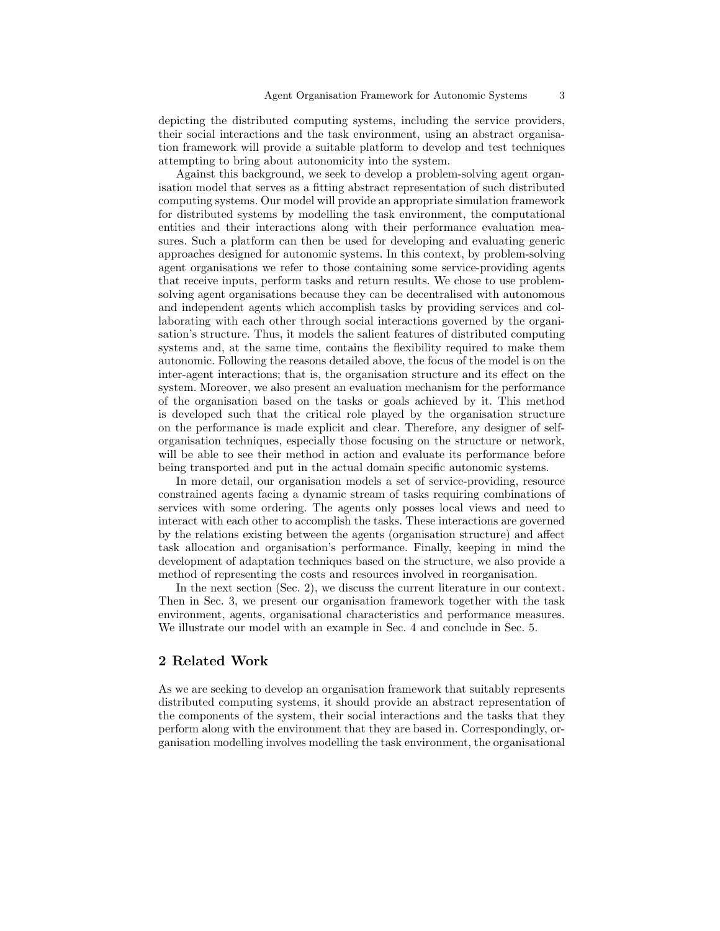depicting the distributed computing systems, including the service providers, their social interactions and the task environment, using an abstract organisation framework will provide a suitable platform to develop and test techniques attempting to bring about autonomicity into the system.

Against this background, we seek to develop a problem-solving agent organisation model that serves as a fitting abstract representation of such distributed computing systems. Our model will provide an appropriate simulation framework for distributed systems by modelling the task environment, the computational entities and their interactions along with their performance evaluation measures. Such a platform can then be used for developing and evaluating generic approaches designed for autonomic systems. In this context, by problem-solving agent organisations we refer to those containing some service-providing agents that receive inputs, perform tasks and return results. We chose to use problemsolving agent organisations because they can be decentralised with autonomous and independent agents which accomplish tasks by providing services and collaborating with each other through social interactions governed by the organisation's structure. Thus, it models the salient features of distributed computing systems and, at the same time, contains the flexibility required to make them autonomic. Following the reasons detailed above, the focus of the model is on the inter-agent interactions; that is, the organisation structure and its effect on the system. Moreover, we also present an evaluation mechanism for the performance of the organisation based on the tasks or goals achieved by it. This method is developed such that the critical role played by the organisation structure on the performance is made explicit and clear. Therefore, any designer of selforganisation techniques, especially those focusing on the structure or network, will be able to see their method in action and evaluate its performance before being transported and put in the actual domain specific autonomic systems.

In more detail, our organisation models a set of service-providing, resource constrained agents facing a dynamic stream of tasks requiring combinations of services with some ordering. The agents only posses local views and need to interact with each other to accomplish the tasks. These interactions are governed by the relations existing between the agents (organisation structure) and affect task allocation and organisation's performance. Finally, keeping in mind the development of adaptation techniques based on the structure, we also provide a method of representing the costs and resources involved in reorganisation.

In the next section (Sec. 2), we discuss the current literature in our context. Then in Sec. 3, we present our organisation framework together with the task environment, agents, organisational characteristics and performance measures. We illustrate our model with an example in Sec. 4 and conclude in Sec. 5.

## 2 Related Work

As we are seeking to develop an organisation framework that suitably represents distributed computing systems, it should provide an abstract representation of the components of the system, their social interactions and the tasks that they perform along with the environment that they are based in. Correspondingly, organisation modelling involves modelling the task environment, the organisational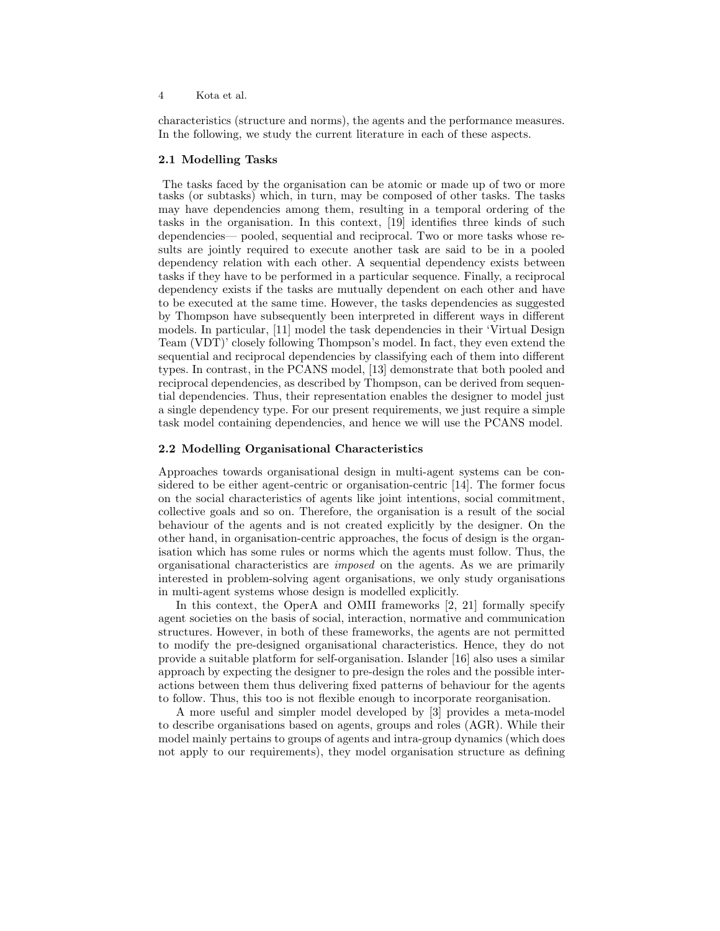characteristics (structure and norms), the agents and the performance measures. In the following, we study the current literature in each of these aspects.

## 2.1 Modelling Tasks

The tasks faced by the organisation can be atomic or made up of two or more tasks (or subtasks) which, in turn, may be composed of other tasks. The tasks may have dependencies among them, resulting in a temporal ordering of the tasks in the organisation. In this context, [19] identifies three kinds of such dependencies— pooled, sequential and reciprocal. Two or more tasks whose results are jointly required to execute another task are said to be in a pooled dependency relation with each other. A sequential dependency exists between tasks if they have to be performed in a particular sequence. Finally, a reciprocal dependency exists if the tasks are mutually dependent on each other and have to be executed at the same time. However, the tasks dependencies as suggested by Thompson have subsequently been interpreted in different ways in different models. In particular, [11] model the task dependencies in their 'Virtual Design Team (VDT)' closely following Thompson's model. In fact, they even extend the sequential and reciprocal dependencies by classifying each of them into different types. In contrast, in the PCANS model, [13] demonstrate that both pooled and reciprocal dependencies, as described by Thompson, can be derived from sequential dependencies. Thus, their representation enables the designer to model just a single dependency type. For our present requirements, we just require a simple task model containing dependencies, and hence we will use the PCANS model.

#### 2.2 Modelling Organisational Characteristics

Approaches towards organisational design in multi-agent systems can be considered to be either agent-centric or organisation-centric [14]. The former focus on the social characteristics of agents like joint intentions, social commitment, collective goals and so on. Therefore, the organisation is a result of the social behaviour of the agents and is not created explicitly by the designer. On the other hand, in organisation-centric approaches, the focus of design is the organisation which has some rules or norms which the agents must follow. Thus, the organisational characteristics are imposed on the agents. As we are primarily interested in problem-solving agent organisations, we only study organisations in multi-agent systems whose design is modelled explicitly.

In this context, the OperA and OMII frameworks [2, 21] formally specify agent societies on the basis of social, interaction, normative and communication structures. However, in both of these frameworks, the agents are not permitted to modify the pre-designed organisational characteristics. Hence, they do not provide a suitable platform for self-organisation. Islander [16] also uses a similar approach by expecting the designer to pre-design the roles and the possible interactions between them thus delivering fixed patterns of behaviour for the agents to follow. Thus, this too is not flexible enough to incorporate reorganisation.

A more useful and simpler model developed by [3] provides a meta-model to describe organisations based on agents, groups and roles (AGR). While their model mainly pertains to groups of agents and intra-group dynamics (which does not apply to our requirements), they model organisation structure as defining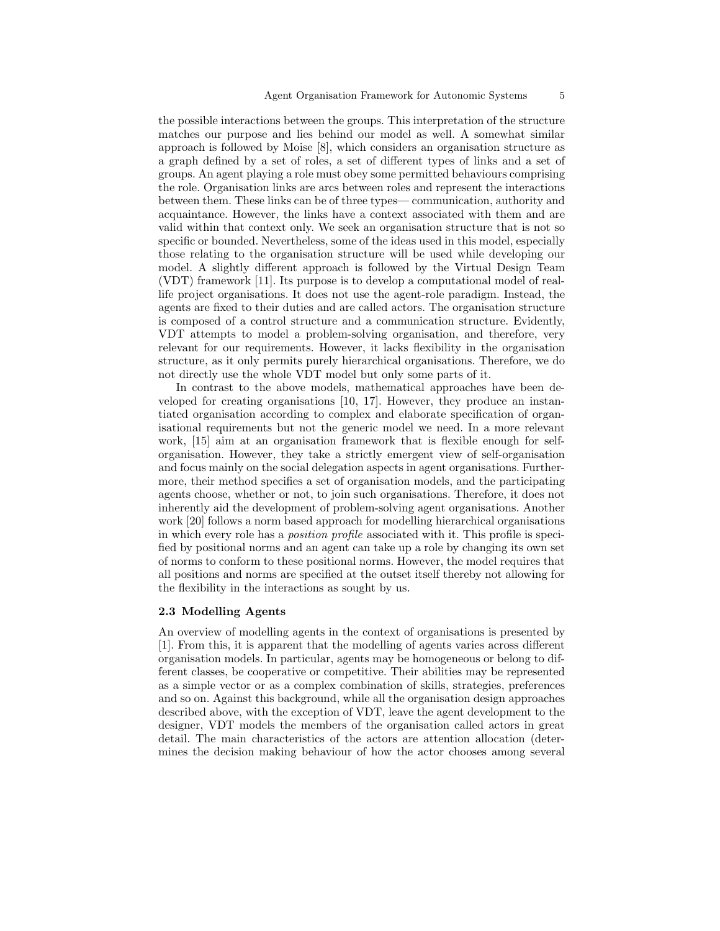the possible interactions between the groups. This interpretation of the structure matches our purpose and lies behind our model as well. A somewhat similar approach is followed by Moise [8], which considers an organisation structure as a graph defined by a set of roles, a set of different types of links and a set of groups. An agent playing a role must obey some permitted behaviours comprising the role. Organisation links are arcs between roles and represent the interactions between them. These links can be of three types— communication, authority and acquaintance. However, the links have a context associated with them and are valid within that context only. We seek an organisation structure that is not so specific or bounded. Nevertheless, some of the ideas used in this model, especially those relating to the organisation structure will be used while developing our model. A slightly different approach is followed by the Virtual Design Team (VDT) framework [11]. Its purpose is to develop a computational model of reallife project organisations. It does not use the agent-role paradigm. Instead, the agents are fixed to their duties and are called actors. The organisation structure is composed of a control structure and a communication structure. Evidently, VDT attempts to model a problem-solving organisation, and therefore, very relevant for our requirements. However, it lacks flexibility in the organisation structure, as it only permits purely hierarchical organisations. Therefore, we do not directly use the whole VDT model but only some parts of it.

In contrast to the above models, mathematical approaches have been developed for creating organisations [10, 17]. However, they produce an instantiated organisation according to complex and elaborate specification of organisational requirements but not the generic model we need. In a more relevant work, [15] aim at an organisation framework that is flexible enough for selforganisation. However, they take a strictly emergent view of self-organisation and focus mainly on the social delegation aspects in agent organisations. Furthermore, their method specifies a set of organisation models, and the participating agents choose, whether or not, to join such organisations. Therefore, it does not inherently aid the development of problem-solving agent organisations. Another work [20] follows a norm based approach for modelling hierarchical organisations in which every role has a position profile associated with it. This profile is specified by positional norms and an agent can take up a role by changing its own set of norms to conform to these positional norms. However, the model requires that all positions and norms are specified at the outset itself thereby not allowing for the flexibility in the interactions as sought by us.

## 2.3 Modelling Agents

An overview of modelling agents in the context of organisations is presented by [1]. From this, it is apparent that the modelling of agents varies across different organisation models. In particular, agents may be homogeneous or belong to different classes, be cooperative or competitive. Their abilities may be represented as a simple vector or as a complex combination of skills, strategies, preferences and so on. Against this background, while all the organisation design approaches described above, with the exception of VDT, leave the agent development to the designer, VDT models the members of the organisation called actors in great detail. The main characteristics of the actors are attention allocation (determines the decision making behaviour of how the actor chooses among several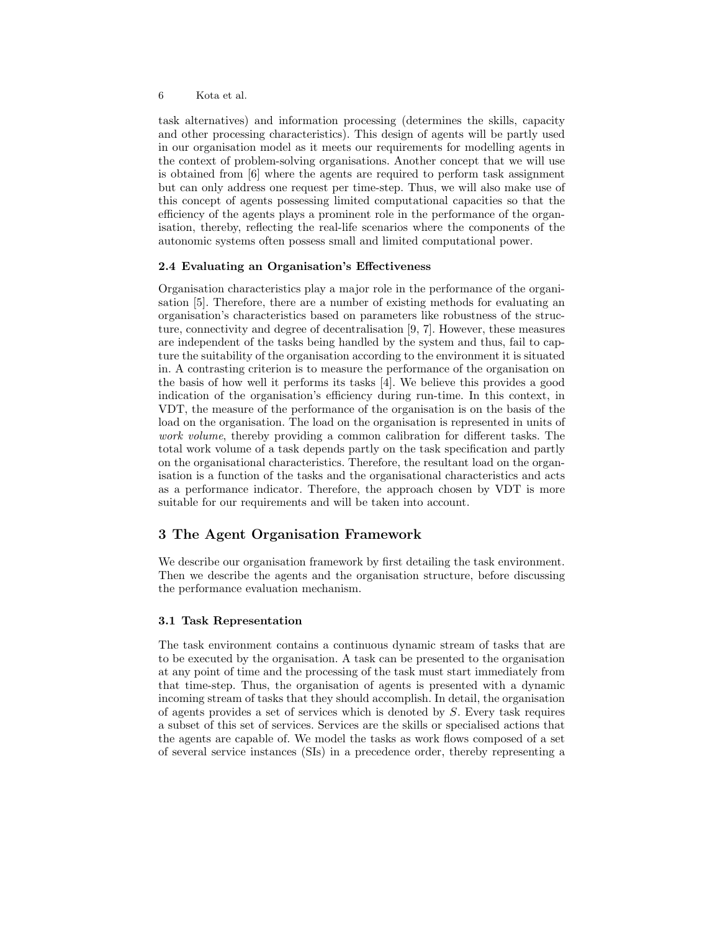task alternatives) and information processing (determines the skills, capacity and other processing characteristics). This design of agents will be partly used in our organisation model as it meets our requirements for modelling agents in the context of problem-solving organisations. Another concept that we will use is obtained from [6] where the agents are required to perform task assignment but can only address one request per time-step. Thus, we will also make use of this concept of agents possessing limited computational capacities so that the efficiency of the agents plays a prominent role in the performance of the organisation, thereby, reflecting the real-life scenarios where the components of the autonomic systems often possess small and limited computational power.

## 2.4 Evaluating an Organisation's Effectiveness

Organisation characteristics play a major role in the performance of the organisation [5]. Therefore, there are a number of existing methods for evaluating an organisation's characteristics based on parameters like robustness of the structure, connectivity and degree of decentralisation [9, 7]. However, these measures are independent of the tasks being handled by the system and thus, fail to capture the suitability of the organisation according to the environment it is situated in. A contrasting criterion is to measure the performance of the organisation on the basis of how well it performs its tasks [4]. We believe this provides a good indication of the organisation's efficiency during run-time. In this context, in VDT, the measure of the performance of the organisation is on the basis of the load on the organisation. The load on the organisation is represented in units of work volume, thereby providing a common calibration for different tasks. The total work volume of a task depends partly on the task specification and partly on the organisational characteristics. Therefore, the resultant load on the organisation is a function of the tasks and the organisational characteristics and acts as a performance indicator. Therefore, the approach chosen by VDT is more suitable for our requirements and will be taken into account.

# 3 The Agent Organisation Framework

We describe our organisation framework by first detailing the task environment. Then we describe the agents and the organisation structure, before discussing the performance evaluation mechanism.

## 3.1 Task Representation

The task environment contains a continuous dynamic stream of tasks that are to be executed by the organisation. A task can be presented to the organisation at any point of time and the processing of the task must start immediately from that time-step. Thus, the organisation of agents is presented with a dynamic incoming stream of tasks that they should accomplish. In detail, the organisation of agents provides a set of services which is denoted by S. Every task requires a subset of this set of services. Services are the skills or specialised actions that the agents are capable of. We model the tasks as work flows composed of a set of several service instances (SIs) in a precedence order, thereby representing a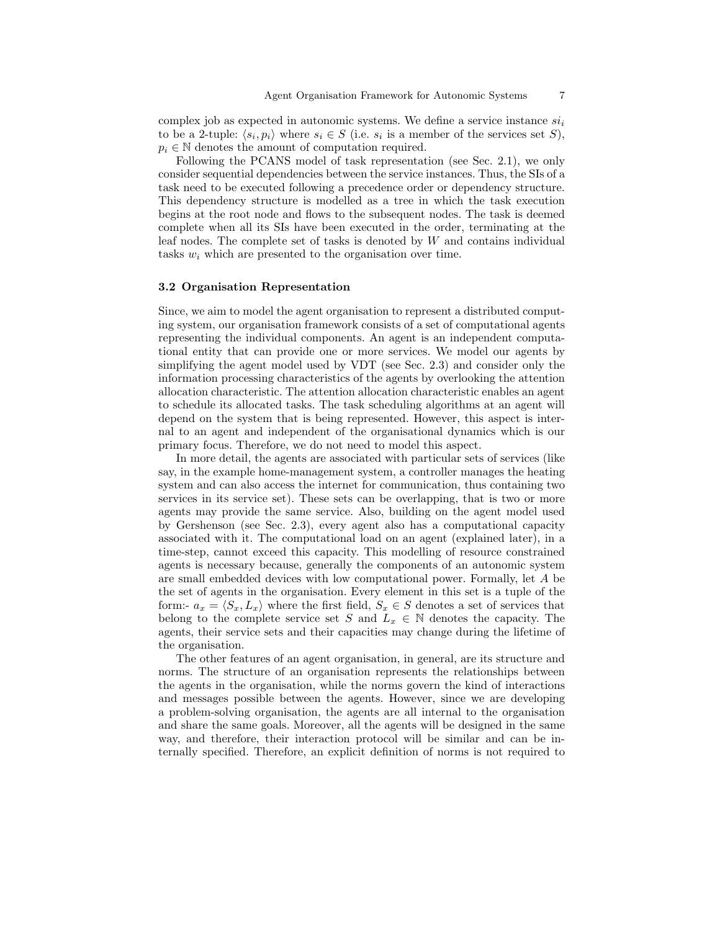complex job as expected in autonomic systems. We define a service instance  $si_i$ to be a 2-tuple:  $\langle s_i, p_i \rangle$  where  $s_i \in S$  (i.e.  $s_i$  is a member of the services set S),  $p_i \in \mathbb{N}$  denotes the amount of computation required.

Following the PCANS model of task representation (see Sec. 2.1), we only consider sequential dependencies between the service instances. Thus, the SIs of a task need to be executed following a precedence order or dependency structure. This dependency structure is modelled as a tree in which the task execution begins at the root node and flows to the subsequent nodes. The task is deemed complete when all its SIs have been executed in the order, terminating at the leaf nodes. The complete set of tasks is denoted by  $W$  and contains individual tasks  $w_i$  which are presented to the organisation over time.

#### 3.2 Organisation Representation

Since, we aim to model the agent organisation to represent a distributed computing system, our organisation framework consists of a set of computational agents representing the individual components. An agent is an independent computational entity that can provide one or more services. We model our agents by simplifying the agent model used by VDT (see Sec. 2.3) and consider only the information processing characteristics of the agents by overlooking the attention allocation characteristic. The attention allocation characteristic enables an agent to schedule its allocated tasks. The task scheduling algorithms at an agent will depend on the system that is being represented. However, this aspect is internal to an agent and independent of the organisational dynamics which is our primary focus. Therefore, we do not need to model this aspect.

In more detail, the agents are associated with particular sets of services (like say, in the example home-management system, a controller manages the heating system and can also access the internet for communication, thus containing two services in its service set). These sets can be overlapping, that is two or more agents may provide the same service. Also, building on the agent model used by Gershenson (see Sec. 2.3), every agent also has a computational capacity associated with it. The computational load on an agent (explained later), in a time-step, cannot exceed this capacity. This modelling of resource constrained agents is necessary because, generally the components of an autonomic system are small embedded devices with low computational power. Formally, let A be the set of agents in the organisation. Every element in this set is a tuple of the form:-  $a_x = \langle S_x, L_x \rangle$  where the first field,  $S_x \in S$  denotes a set of services that belong to the complete service set S and  $L_x \in \mathbb{N}$  denotes the capacity. The agents, their service sets and their capacities may change during the lifetime of the organisation.

The other features of an agent organisation, in general, are its structure and norms. The structure of an organisation represents the relationships between the agents in the organisation, while the norms govern the kind of interactions and messages possible between the agents. However, since we are developing a problem-solving organisation, the agents are all internal to the organisation and share the same goals. Moreover, all the agents will be designed in the same way, and therefore, their interaction protocol will be similar and can be internally specified. Therefore, an explicit definition of norms is not required to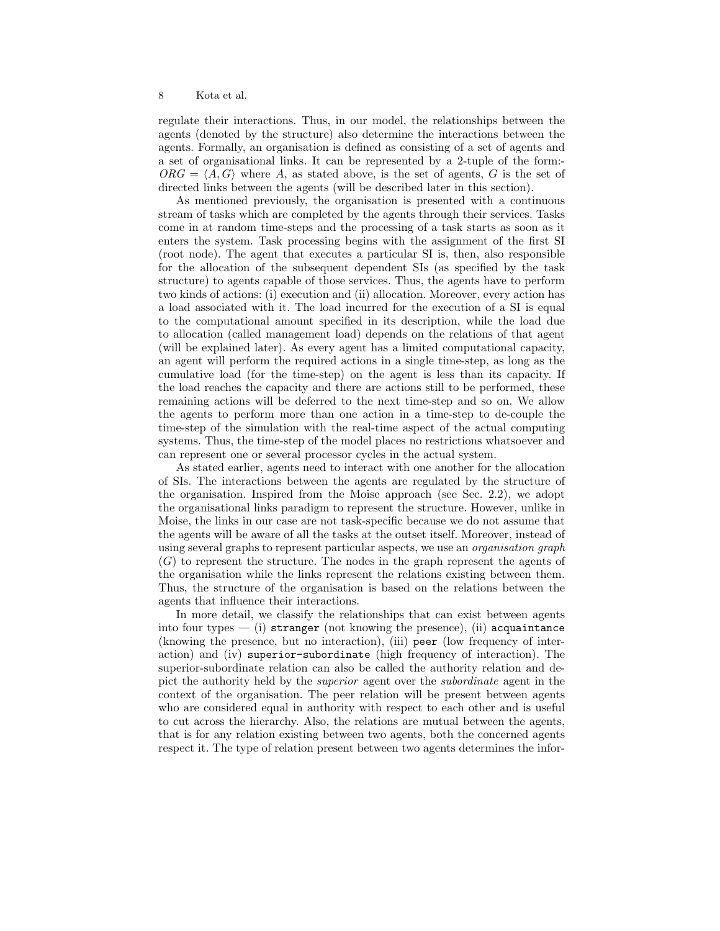regulate their interactions. Thus, in our model, the relationships between the agents (denoted by the structure) also determine the interactions between the agents. Formally, an organisation is defined as consisting of a set of agents and a set of organisational links. It can be represented by a 2-tuple of the form:-  $ORG = \langle A, G \rangle$  where A, as stated above, is the set of agents, G is the set of directed links between the agents (will be described later in this section).

As mentioned previously, the organisation is presented with a continuous stream of tasks which are completed by the agents through their services. Tasks come in at random time-steps and the processing of a task starts as soon as it enters the system. Task processing begins with the assignment of the first SI (root node). The agent that executes a particular SI is, then, also responsible for the allocation of the subsequent dependent SIs (as specified by the task structure) to agents capable of those services. Thus, the agents have to perform two kinds of actions: (i) execution and (ii) allocation. Moreover, every action has a load associated with it. The load incurred for the execution of a SI is equal to the computational amount specified in its description, while the load due to allocation (called management load) depends on the relations of that agent (will be explained later). As every agent has a limited computational capacity, an agent will perform the required actions in a single time-step, as long as the cumulative load (for the time-step) on the agent is less than its capacity. If the load reaches the capacity and there are actions still to be performed, these remaining actions will be deferred to the next time-step and so on. We allow the agents to perform more than one action in a time-step to de-couple the time-step of the simulation with the real-time aspect of the actual computing systems. Thus, the time-step of the model places no restrictions whatsoever and can represent one or several processor cycles in the actual system.

As stated earlier, agents need to interact with one another for the allocation of SIs. The interactions between the agents are regulated by the structure of the organisation. Inspired from the Moise approach (see Sec. 2.2), we adopt the organisational links paradigm to represent the structure. However, unlike in Moise, the links in our case are not task-specific because we do not assume that the agents will be aware of all the tasks at the outset itself. Moreover, instead of using several graphs to represent particular aspects, we use an organisation graph (G) to represent the structure. The nodes in the graph represent the agents of the organisation while the links represent the relations existing between them. Thus, the structure of the organisation is based on the relations between the agents that influence their interactions.

In more detail, we classify the relationships that can exist between agents into four types  $-$  (i) stranger (not knowing the presence), (ii) acquaintance (knowing the presence, but no interaction), (iii) peer (low frequency of interaction) and (iv) superior-subordinate (high frequency of interaction). The superior-subordinate relation can also be called the authority relation and depict the authority held by the superior agent over the subordinate agent in the context of the organisation. The peer relation will be present between agents who are considered equal in authority with respect to each other and is useful to cut across the hierarchy. Also, the relations are mutual between the agents, that is for any relation existing between two agents, both the concerned agents respect it. The type of relation present between two agents determines the infor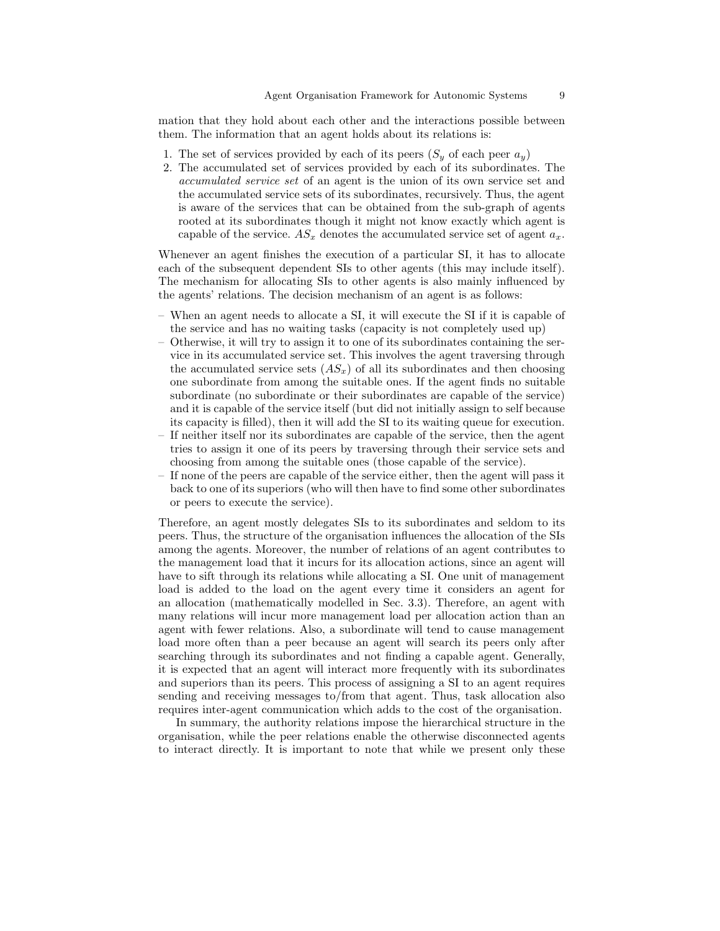mation that they hold about each other and the interactions possible between them. The information that an agent holds about its relations is:

- 1. The set of services provided by each of its peers  $(S_y \text{ of each peer } a_y)$
- 2. The accumulated set of services provided by each of its subordinates. The accumulated service set of an agent is the union of its own service set and the accumulated service sets of its subordinates, recursively. Thus, the agent is aware of the services that can be obtained from the sub-graph of agents rooted at its subordinates though it might not know exactly which agent is capable of the service.  $AS_x$  denotes the accumulated service set of agent  $a_x$ .

Whenever an agent finishes the execution of a particular SI, it has to allocate each of the subsequent dependent SIs to other agents (this may include itself). The mechanism for allocating SIs to other agents is also mainly influenced by the agents' relations. The decision mechanism of an agent is as follows:

- When an agent needs to allocate a SI, it will execute the SI if it is capable of the service and has no waiting tasks (capacity is not completely used up)
- Otherwise, it will try to assign it to one of its subordinates containing the service in its accumulated service set. This involves the agent traversing through the accumulated service sets  $(AS_x)$  of all its subordinates and then choosing one subordinate from among the suitable ones. If the agent finds no suitable subordinate (no subordinate or their subordinates are capable of the service) and it is capable of the service itself (but did not initially assign to self because its capacity is filled), then it will add the SI to its waiting queue for execution.
- If neither itself nor its subordinates are capable of the service, then the agent tries to assign it one of its peers by traversing through their service sets and choosing from among the suitable ones (those capable of the service).
- If none of the peers are capable of the service either, then the agent will pass it back to one of its superiors (who will then have to find some other subordinates or peers to execute the service).

Therefore, an agent mostly delegates SIs to its subordinates and seldom to its peers. Thus, the structure of the organisation influences the allocation of the SIs among the agents. Moreover, the number of relations of an agent contributes to the management load that it incurs for its allocation actions, since an agent will have to sift through its relations while allocating a SI. One unit of management load is added to the load on the agent every time it considers an agent for an allocation (mathematically modelled in Sec. 3.3). Therefore, an agent with many relations will incur more management load per allocation action than an agent with fewer relations. Also, a subordinate will tend to cause management load more often than a peer because an agent will search its peers only after searching through its subordinates and not finding a capable agent. Generally, it is expected that an agent will interact more frequently with its subordinates and superiors than its peers. This process of assigning a SI to an agent requires sending and receiving messages to/from that agent. Thus, task allocation also requires inter-agent communication which adds to the cost of the organisation.

In summary, the authority relations impose the hierarchical structure in the organisation, while the peer relations enable the otherwise disconnected agents to interact directly. It is important to note that while we present only these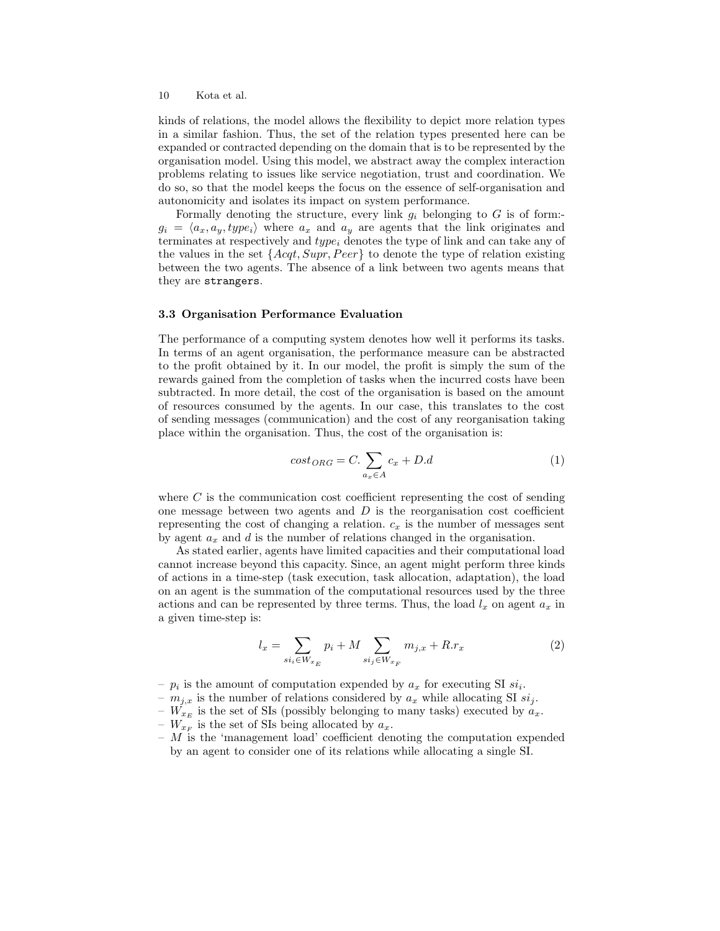kinds of relations, the model allows the flexibility to depict more relation types in a similar fashion. Thus, the set of the relation types presented here can be expanded or contracted depending on the domain that is to be represented by the organisation model. Using this model, we abstract away the complex interaction problems relating to issues like service negotiation, trust and coordination. We do so, so that the model keeps the focus on the essence of self-organisation and autonomicity and isolates its impact on system performance.

Formally denoting the structure, every link  $g_i$  belonging to G is of form: $g_i = \langle a_x, a_y, type_i \rangle$  where  $a_x$  and  $a_y$  are agents that the link originates and terminates at respectively and  $type<sub>i</sub>$  denotes the type of link and can take any of the values in the set  $\{Acqt, Supr, Peer\}$  to denote the type of relation existing between the two agents. The absence of a link between two agents means that they are strangers.

#### 3.3 Organisation Performance Evaluation

The performance of a computing system denotes how well it performs its tasks. In terms of an agent organisation, the performance measure can be abstracted to the profit obtained by it. In our model, the profit is simply the sum of the rewards gained from the completion of tasks when the incurred costs have been subtracted. In more detail, the cost of the organisation is based on the amount of resources consumed by the agents. In our case, this translates to the cost of sending messages (communication) and the cost of any reorganisation taking place within the organisation. Thus, the cost of the organisation is:

$$
cost_{ORG} = C. \sum_{a_x \in A} c_x + D.d
$$
 (1)

where  $C$  is the communication cost coefficient representing the cost of sending one message between two agents and  $D$  is the reorganisation cost coefficient representing the cost of changing a relation.  $c_x$  is the number of messages sent by agent  $a_x$  and d is the number of relations changed in the organisation.

As stated earlier, agents have limited capacities and their computational load cannot increase beyond this capacity. Since, an agent might perform three kinds of actions in a time-step (task execution, task allocation, adaptation), the load on an agent is the summation of the computational resources used by the three actions and can be represented by three terms. Thus, the load  $l_x$  on agent  $a_x$  in a given time-step is:

$$
l_x = \sum_{s i_i \in W_{x_E}} p_i + M \sum_{s i_j \in W_{x_F}} m_{j,x} + R.r_x \tag{2}
$$

–  $p_i$  is the amount of computation expended by  $a_x$  for executing SI  $si_i$ .

- $m_{j,x}$  is the number of relations considered by  $a_x$  while allocating SI  $si_j$ .
- $W_{xE}$  is the set of SIs (possibly belonging to many tasks) executed by  $a_x$ .
- $W_{x_F}$  is the set of SIs being allocated by  $a_x$ .
- $-$  M is the 'management load' coefficient denoting the computation expended by an agent to consider one of its relations while allocating a single SI.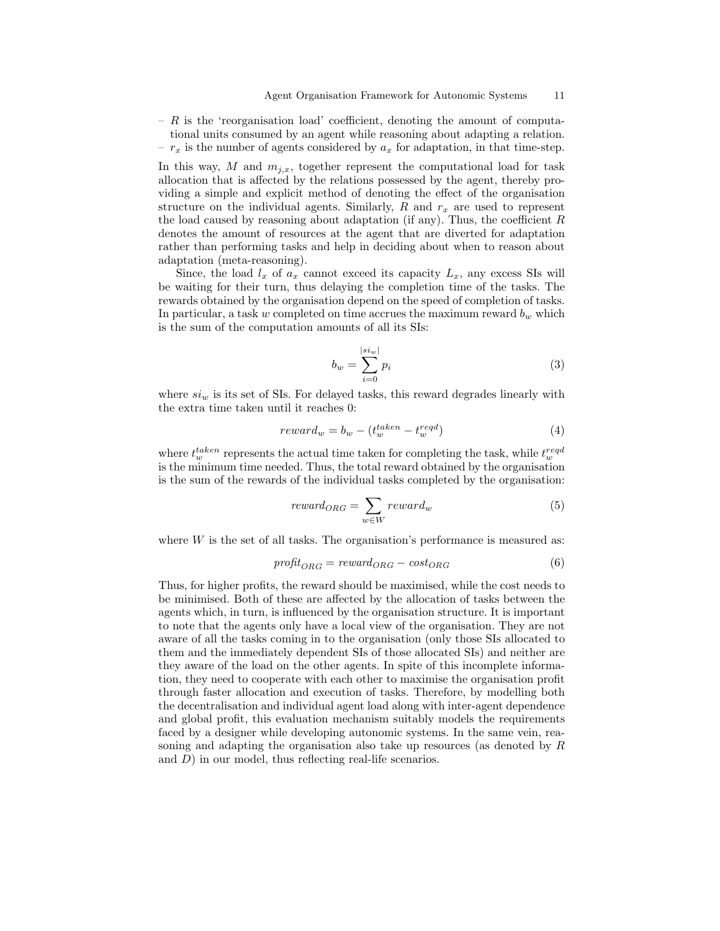- $R$  is the 'reorganisation load' coefficient, denoting the amount of computational units consumed by an agent while reasoning about adapting a relation.
- $r_x$  is the number of agents considered by  $a_x$  for adaptation, in that time-step.

In this way,  $M$  and  $m_{j,x}$ , together represent the computational load for task allocation that is affected by the relations possessed by the agent, thereby providing a simple and explicit method of denoting the effect of the organisation structure on the individual agents. Similarly,  $R$  and  $r_x$  are used to represent the load caused by reasoning about adaptation (if any). Thus, the coefficient  $R$ denotes the amount of resources at the agent that are diverted for adaptation rather than performing tasks and help in deciding about when to reason about adaptation (meta-reasoning).

Since, the load  $l_x$  of  $a_x$  cannot exceed its capacity  $L_x$ , any excess SIs will be waiting for their turn, thus delaying the completion time of the tasks. The rewards obtained by the organisation depend on the speed of completion of tasks. In particular, a task w completed on time accrues the maximum reward  $b_w$  which is the sum of the computation amounts of all its SIs:

$$
b_w = \sum_{i=0}^{|si_w|} p_i \tag{3}
$$

where  $si_w$  is its set of SIs. For delayed tasks, this reward degrades linearly with the extra time taken until it reaches 0:

$$
reward_w = b_w - (t_w^{taken} - t_w^{req})
$$
\n<sup>(4)</sup>

where  $t_w^{taken}$  represents the actual time taken for completing the task, while  $t_w^{reqd}$ is the minimum time needed. Thus, the total reward obtained by the organisation is the sum of the rewards of the individual tasks completed by the organisation:

$$
reward_{ORG} = \sum_{w \in W} reward_w \tag{5}
$$

where  $W$  is the set of all tasks. The organisation's performance is measured as:

$$
profit_{ORG} = reward_{ORG} - cost_{ORG}
$$
 (6)

Thus, for higher profits, the reward should be maximised, while the cost needs to be minimised. Both of these are affected by the allocation of tasks between the agents which, in turn, is influenced by the organisation structure. It is important to note that the agents only have a local view of the organisation. They are not aware of all the tasks coming in to the organisation (only those SIs allocated to them and the immediately dependent SIs of those allocated SIs) and neither are they aware of the load on the other agents. In spite of this incomplete information, they need to cooperate with each other to maximise the organisation profit through faster allocation and execution of tasks. Therefore, by modelling both the decentralisation and individual agent load along with inter-agent dependence and global profit, this evaluation mechanism suitably models the requirements faced by a designer while developing autonomic systems. In the same vein, reasoning and adapting the organisation also take up resources (as denoted by R and D) in our model, thus reflecting real-life scenarios.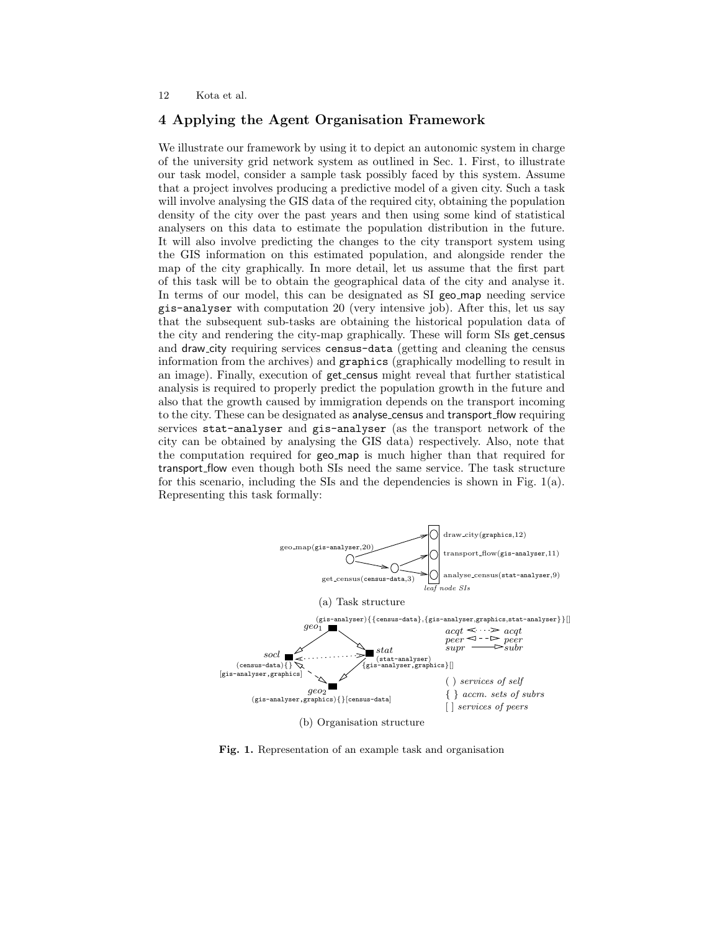# 4 Applying the Agent Organisation Framework

We illustrate our framework by using it to depict an autonomic system in charge of the university grid network system as outlined in Sec. 1. First, to illustrate our task model, consider a sample task possibly faced by this system. Assume that a project involves producing a predictive model of a given city. Such a task will involve analysing the GIS data of the required city, obtaining the population density of the city over the past years and then using some kind of statistical analysers on this data to estimate the population distribution in the future. It will also involve predicting the changes to the city transport system using the GIS information on this estimated population, and alongside render the map of the city graphically. In more detail, let us assume that the first part of this task will be to obtain the geographical data of the city and analyse it. In terms of our model, this can be designated as SI geomap needing service gis-analyser with computation 20 (very intensive job). After this, let us say that the subsequent sub-tasks are obtaining the historical population data of the city and rendering the city-map graphically. These will form SIs get census and draw city requiring services census-data (getting and cleaning the census information from the archives) and graphics (graphically modelling to result in an image). Finally, execution of get census might reveal that further statistical analysis is required to properly predict the population growth in the future and also that the growth caused by immigration depends on the transport incoming to the city. These can be designated as analyse census and transport flow requiring services stat-analyser and gis-analyser (as the transport network of the city can be obtained by analysing the GIS data) respectively. Also, note that the computation required for geo map is much higher than that required for transport flow even though both SIs need the same service. The task structure for this scenario, including the SIs and the dependencies is shown in Fig.  $1(a)$ . Representing this task formally:



Fig. 1. Representation of an example task and organisation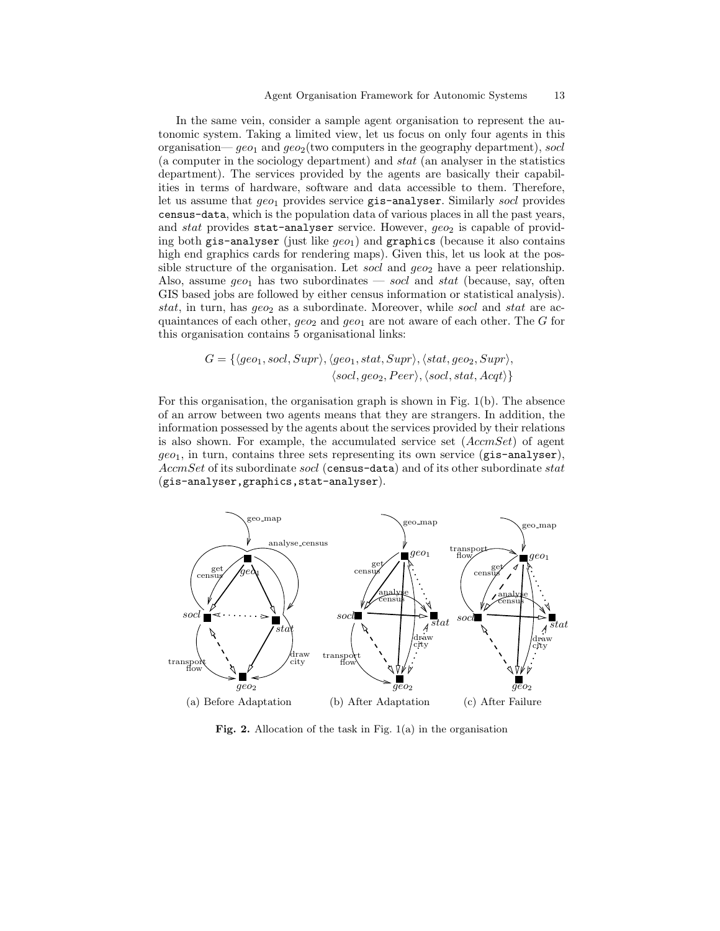In the same vein, consider a sample agent organisation to represent the autonomic system. Taking a limited view, let us focus on only four agents in this organisation—  $geo_1$  and  $geo_2$ (two computers in the geography department), socl (a computer in the sociology department) and stat (an analyser in the statistics department). The services provided by the agents are basically their capabilities in terms of hardware, software and data accessible to them. Therefore, let us assume that  $geo_1$  provides service  $gis$ -analyser. Similarly socl provides census-data, which is the population data of various places in all the past years, and stat provides stat-analyser service. However,  $geo_2$  is capable of providing both gis-analyser (just like  $geo_1$ ) and graphics (because it also contains high end graphics cards for rendering maps). Given this, let us look at the possible structure of the organisation. Let socl and  $geo_2$  have a peer relationship. Also, assume  $q\epsilon o_1$  has two subordinates — socl and stat (because, say, often GIS based jobs are followed by either census information or statistical analysis). stat, in turn, has  $q\epsilon_0$  as a subordinate. Moreover, while socl and stat are acquaintances of each other,  $geo_2$  and  $geo_1$  are not aware of each other. The G for this organisation contains 5 organisational links:

$$
G = \{ \langle geo_1, soci, Supr \rangle, \langle geo_1, stat, Supr \rangle, \langle stat, geo_2, Supr \rangle, \\ \langle soci, geo_2, Pere \rangle, \langle soci, stat, Acqt \rangle \}
$$

For this organisation, the organisation graph is shown in Fig. 1(b). The absence of an arrow between two agents means that they are strangers. In addition, the information possessed by the agents about the services provided by their relations is also shown. For example, the accumulated service set  $(AccmSet)$  of agent  $geo_1$ , in turn, contains three sets representing its own service (gis-analyser), AccmSet of its subordinate socl (census-data) and of its other subordinate stat (gis-analyser,graphics,stat-analyser).



Fig. 2. Allocation of the task in Fig.  $1(a)$  in the organisation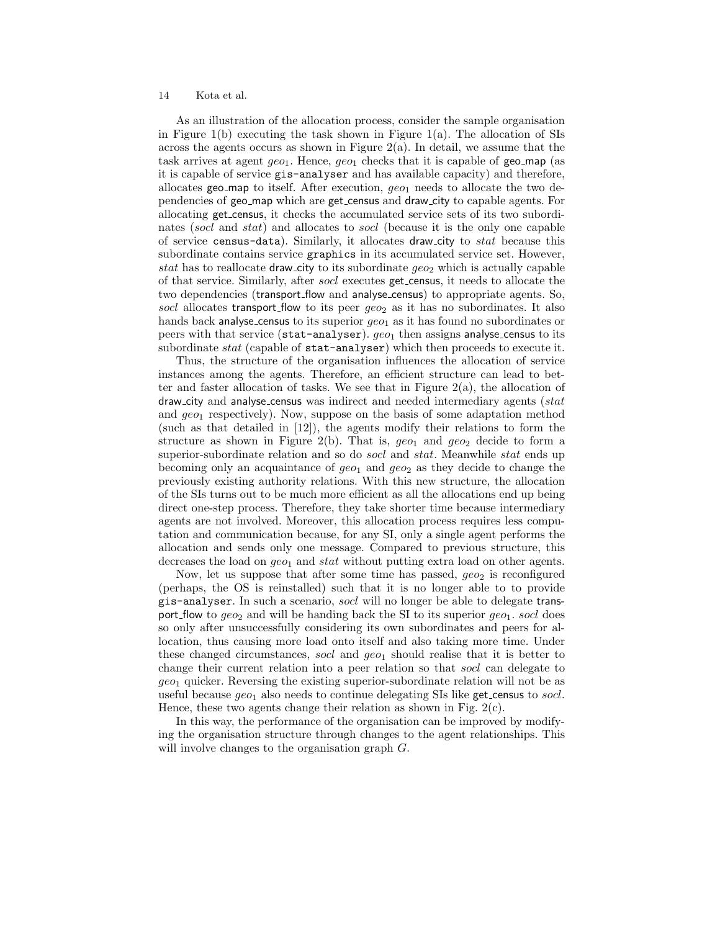As an illustration of the allocation process, consider the sample organisation in Figure  $1(b)$  executing the task shown in Figure  $1(a)$ . The allocation of SIs across the agents occurs as shown in Figure  $2(a)$ . In detail, we assume that the task arrives at agent  $geo_1$ . Hence,  $geo_1$  checks that it is capable of geo\_map (as it is capable of service gis-analyser and has available capacity) and therefore, allocates geo\_map to itself. After execution,  $geo_1$  needs to allocate the two dependencies of geo map which are get census and draw city to capable agents. For allocating get census, it checks the accumulated service sets of its two subordinates (socl and stat) and allocates to socl (because it is the only one capable of service census-data). Similarly, it allocates draw city to stat because this subordinate contains service graphics in its accumulated service set. However, stat has to reallocate draw city to its subordinate  $geo_2$  which is actually capable of that service. Similarly, after socl executes get census, it needs to allocate the two dependencies (transport flow and analyse census) to appropriate agents. So, socl allocates transport flow to its peer  $geo_2$  as it has no subordinates. It also hands back analyse census to its superior  $geo_1$  as it has found no subordinates or peers with that service (stat-analyser).  $geo_1$  then assigns analyse census to its subordinate *stat* (capable of **stat-analyser**) which then proceeds to execute it.

Thus, the structure of the organisation influences the allocation of service instances among the agents. Therefore, an efficient structure can lead to better and faster allocation of tasks. We see that in Figure  $2(a)$ , the allocation of draw\_city and analyse\_census was indirect and needed intermediary agents (stat and  $geo_1$  respectively). Now, suppose on the basis of some adaptation method (such as that detailed in [12]), the agents modify their relations to form the structure as shown in Figure 2(b). That is,  $geo_1$  and  $geo_2$  decide to form a superior-subordinate relation and so do *socl* and *stat*. Meanwhile *stat* ends up becoming only an acquaintance of  $q\epsilon o_1$  and  $q\epsilon o_2$  as they decide to change the previously existing authority relations. With this new structure, the allocation of the SIs turns out to be much more efficient as all the allocations end up being direct one-step process. Therefore, they take shorter time because intermediary agents are not involved. Moreover, this allocation process requires less computation and communication because, for any SI, only a single agent performs the allocation and sends only one message. Compared to previous structure, this decreases the load on  $geo_1$  and stat without putting extra load on other agents.

Now, let us suppose that after some time has passed,  $geo_2$  is reconfigured (perhaps, the OS is reinstalled) such that it is no longer able to to provide gis-analyser. In such a scenario, socl will no longer be able to delegate transport flow to  $geo_2$  and will be handing back the SI to its superior  $geo_1$ . socl does so only after unsuccessfully considering its own subordinates and peers for allocation, thus causing more load onto itself and also taking more time. Under these changed circumstances, socl and  $q\epsilon o_1$  should realise that it is better to change their current relation into a peer relation so that socl can delegate to  $q\epsilon\varphi_1$  quicker. Reversing the existing superior-subordinate relation will not be as useful because  $q\epsilon o_1$  also needs to continue delegating SIs like get census to socl. Hence, these two agents change their relation as shown in Fig.  $2(c)$ .

In this way, the performance of the organisation can be improved by modifying the organisation structure through changes to the agent relationships. This will involve changes to the organisation graph G.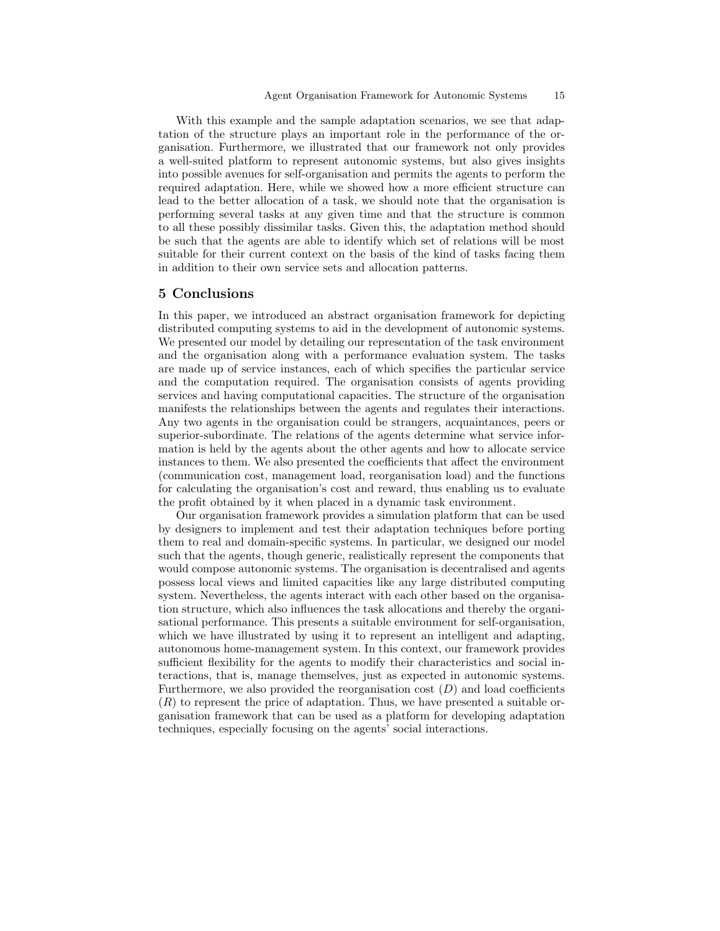With this example and the sample adaptation scenarios, we see that adaptation of the structure plays an important role in the performance of the organisation. Furthermore, we illustrated that our framework not only provides a well-suited platform to represent autonomic systems, but also gives insights into possible avenues for self-organisation and permits the agents to perform the required adaptation. Here, while we showed how a more efficient structure can lead to the better allocation of a task, we should note that the organisation is performing several tasks at any given time and that the structure is common to all these possibly dissimilar tasks. Given this, the adaptation method should be such that the agents are able to identify which set of relations will be most suitable for their current context on the basis of the kind of tasks facing them in addition to their own service sets and allocation patterns.

## 5 Conclusions

In this paper, we introduced an abstract organisation framework for depicting distributed computing systems to aid in the development of autonomic systems. We presented our model by detailing our representation of the task environment and the organisation along with a performance evaluation system. The tasks are made up of service instances, each of which specifies the particular service and the computation required. The organisation consists of agents providing services and having computational capacities. The structure of the organisation manifests the relationships between the agents and regulates their interactions. Any two agents in the organisation could be strangers, acquaintances, peers or superior-subordinate. The relations of the agents determine what service information is held by the agents about the other agents and how to allocate service instances to them. We also presented the coefficients that affect the environment (communication cost, management load, reorganisation load) and the functions for calculating the organisation's cost and reward, thus enabling us to evaluate the profit obtained by it when placed in a dynamic task environment.

Our organisation framework provides a simulation platform that can be used by designers to implement and test their adaptation techniques before porting them to real and domain-specific systems. In particular, we designed our model such that the agents, though generic, realistically represent the components that would compose autonomic systems. The organisation is decentralised and agents possess local views and limited capacities like any large distributed computing system. Nevertheless, the agents interact with each other based on the organisation structure, which also influences the task allocations and thereby the organisational performance. This presents a suitable environment for self-organisation, which we have illustrated by using it to represent an intelligent and adapting, autonomous home-management system. In this context, our framework provides sufficient flexibility for the agents to modify their characteristics and social interactions, that is, manage themselves, just as expected in autonomic systems. Furthermore, we also provided the reorganisation cost  $(D)$  and load coefficients  $(R)$  to represent the price of adaptation. Thus, we have presented a suitable organisation framework that can be used as a platform for developing adaptation techniques, especially focusing on the agents' social interactions.